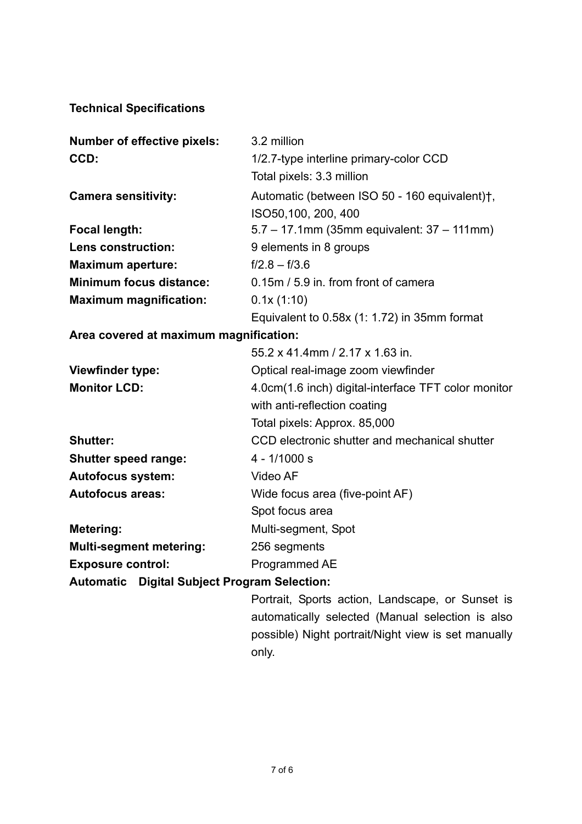#### **Technical Specifications**

| CCD:<br>1/2.7-type interline primary-color CCD<br>Total pixels: 3.3 million<br>Automatic (between ISO 50 - 160 equivalent)†,<br><b>Camera sensitivity:</b><br>ISO50,100, 200, 400 |  |
|-----------------------------------------------------------------------------------------------------------------------------------------------------------------------------------|--|
|                                                                                                                                                                                   |  |
|                                                                                                                                                                                   |  |
|                                                                                                                                                                                   |  |
|                                                                                                                                                                                   |  |
| $5.7 - 17.1$ mm (35mm equivalent: $37 - 111$ mm)<br><b>Focal length:</b>                                                                                                          |  |
| 9 elements in 8 groups<br>Lens construction:                                                                                                                                      |  |
| $f/2.8 - f/3.6$<br><b>Maximum aperture:</b>                                                                                                                                       |  |
| <b>Minimum focus distance:</b><br>0.15m / 5.9 in. from front of camera                                                                                                            |  |
| <b>Maximum magnification:</b><br>0.1x(1:10)                                                                                                                                       |  |
| Equivalent to $0.58x$ (1: 1.72) in 35mm format                                                                                                                                    |  |
| Area covered at maximum magnification:                                                                                                                                            |  |
| 55.2 x 41.4mm / 2.17 x 1.63 in.                                                                                                                                                   |  |
| <b>Viewfinder type:</b><br>Optical real-image zoom viewfinder                                                                                                                     |  |
| <b>Monitor LCD:</b><br>4.0cm(1.6 inch) digital-interface TFT color monitor                                                                                                        |  |
| with anti-reflection coating                                                                                                                                                      |  |
| Total pixels: Approx. 85,000                                                                                                                                                      |  |
| <b>Shutter:</b><br>CCD electronic shutter and mechanical shutter                                                                                                                  |  |
| $4 - 1/1000 s$<br><b>Shutter speed range:</b>                                                                                                                                     |  |
| Video AF<br><b>Autofocus system:</b>                                                                                                                                              |  |
| <b>Autofocus areas:</b><br>Wide focus area (five-point AF)                                                                                                                        |  |
|                                                                                                                                                                                   |  |
| Spot focus area                                                                                                                                                                   |  |
| Multi-segment, Spot<br>Metering:                                                                                                                                                  |  |
| <b>Multi-segment metering:</b><br>256 segments                                                                                                                                    |  |

# **Automatic Digital Subject Program Selection:**

Portrait, Sports action, Landscape, or Sunset is automatically selected (Manual selection is also possible) Night portrait/Night view is set manually only.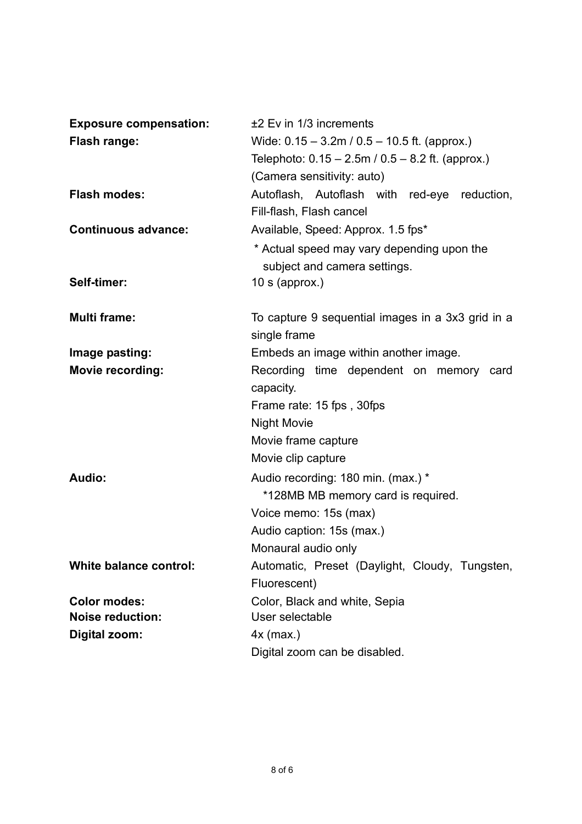| <b>Exposure compensation:</b> | $±2$ Ev in 1/3 increments                                                  |  |  |
|-------------------------------|----------------------------------------------------------------------------|--|--|
| <b>Flash range:</b>           | Wide: $0.15 - 3.2$ m / $0.5 - 10.5$ ft. (approx.)                          |  |  |
|                               | Telephoto: $0.15 - 2.5$ m / $0.5 - 8.2$ ft. (approx.)                      |  |  |
|                               | (Camera sensitivity: auto)                                                 |  |  |
| <b>Flash modes:</b>           | Autoflash, Autoflash with red-eye reduction,                               |  |  |
|                               | Fill-flash, Flash cancel                                                   |  |  |
| <b>Continuous advance:</b>    | Available, Speed: Approx. 1.5 fps*                                         |  |  |
|                               | * Actual speed may vary depending upon the<br>subject and camera settings. |  |  |
| Self-timer:                   | 10 s (approx.)                                                             |  |  |
| <b>Multi frame:</b>           | To capture 9 sequential images in a 3x3 grid in a<br>single frame          |  |  |
| Image pasting:                | Embeds an image within another image.                                      |  |  |
| <b>Movie recording:</b>       | Recording time dependent on memory card<br>capacity.                       |  |  |
|                               | Frame rate: 15 fps, 30fps                                                  |  |  |
|                               | <b>Night Movie</b>                                                         |  |  |
|                               | Movie frame capture                                                        |  |  |
|                               | Movie clip capture                                                         |  |  |
| Audio:                        | Audio recording: 180 min. (max.) *<br>*128MB MB memory card is required.   |  |  |
|                               | Voice memo: 15s (max)                                                      |  |  |
|                               | Audio caption: 15s (max.)                                                  |  |  |
|                               | Monaural audio only                                                        |  |  |
| <b>White balance control:</b> | Automatic, Preset (Daylight, Cloudy, Tungsten,                             |  |  |
|                               | Fluorescent)                                                               |  |  |
| <b>Color modes:</b>           | Color, Black and white, Sepia                                              |  |  |
| <b>Noise reduction:</b>       | User selectable                                                            |  |  |
| Digital zoom:                 | $4x$ (max.)                                                                |  |  |
|                               | Digital zoom can be disabled.                                              |  |  |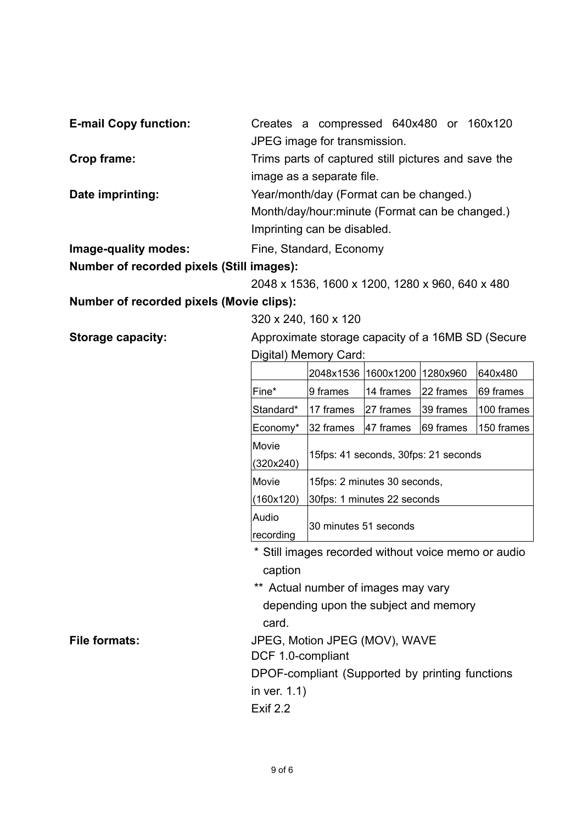| <b>E-mail Copy function:</b> | Creates a compressed 640x480 or 160x120             |  |  |  |  |  |
|------------------------------|-----------------------------------------------------|--|--|--|--|--|
|                              | JPEG image for transmission.                        |  |  |  |  |  |
| Crop frame:                  | Trims parts of captured still pictures and save the |  |  |  |  |  |
|                              | image as a separate file.                           |  |  |  |  |  |
| Date imprinting:             | Year/month/day (Format can be changed.)             |  |  |  |  |  |
|                              | Month/day/hour: minute (Format can be changed.)     |  |  |  |  |  |
|                              | Imprinting can be disabled.                         |  |  |  |  |  |
|                              |                                                     |  |  |  |  |  |

**Image-quality modes:** Fine, Standard, Economy

# **Number of recorded pixels (Still images):**

2048 x 1536, 1600 x 1200, 1280 x 960, 640 x 480

### **Number of recorded pixels (Movie clips):**

320 x 240, 160 x 120

**Storage capacity:** Approximate storage capacity of a 16MB SD (Secure Digital) Memory Card:

|           | 2048x1536                            | 1600x1200  | 1280x960   | 640x480    |
|-----------|--------------------------------------|------------|------------|------------|
| Fine*     | 9 frames                             | 14 frames  | 22 frames  | 69 frames  |
| Standard* | 17 frames                            | l27 frames | l39 frames | 100 frames |
| Economy*  | 32 frames                            | 147 frames | I69 frames | 150 frames |
| Movie     | 15fps: 41 seconds, 30fps: 21 seconds |            |            |            |
| (320x240) |                                      |            |            |            |
| Movie     | 15fps: 2 minutes 30 seconds,         |            |            |            |
| (160x120) | 30fps: 1 minutes 22 seconds          |            |            |            |
| Audio     |                                      |            |            |            |
| recording | 30 minutes 51 seconds                |            |            |            |

- \* Still images recorded without voice memo or audio caption
- \*\* Actual number of images may vary depending upon the subject and memory card.

File formats: **File formats:** JPEG, Motion JPEG (MOV), WAVE

DCF 1.0-compliant

DPOF-compliant (Supported by printing functions

in ver. 1.1)

Exif 2.2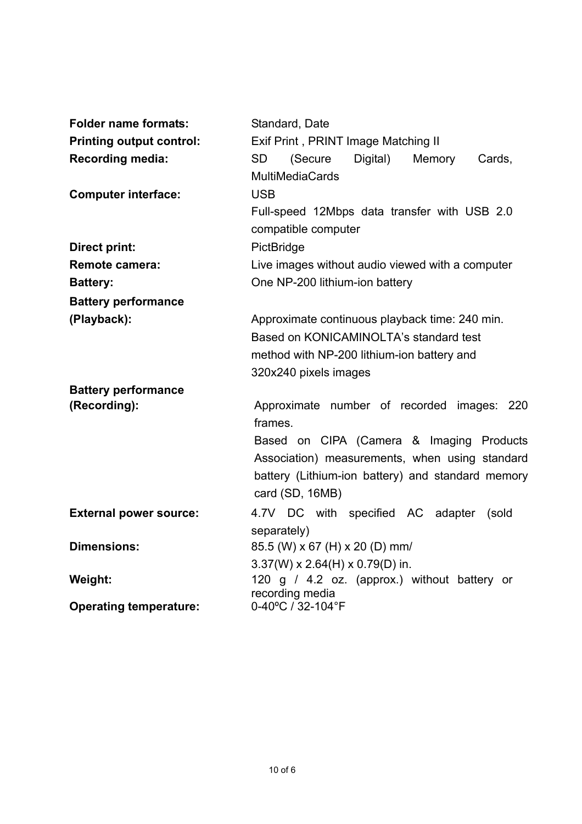| <b>Folder name formats:</b>     | Standard, Date                                                                                                                                                                                                              |
|---------------------------------|-----------------------------------------------------------------------------------------------------------------------------------------------------------------------------------------------------------------------------|
| <b>Printing output control:</b> | Exif Print, PRINT Image Matching II                                                                                                                                                                                         |
| Recording media:                | <b>SD</b><br>(Secure<br>Digital)<br>Memory<br>Cards,<br><b>MultiMediaCards</b>                                                                                                                                              |
| <b>Computer interface:</b>      | <b>USB</b><br>Full-speed 12Mbps data transfer with USB 2.0<br>compatible computer                                                                                                                                           |
| Direct print:                   | PictBridge                                                                                                                                                                                                                  |
| Remote camera:                  | Live images without audio viewed with a computer                                                                                                                                                                            |
| <b>Battery:</b>                 | One NP-200 lithium-ion battery                                                                                                                                                                                              |
| <b>Battery performance</b>      |                                                                                                                                                                                                                             |
| (Playback):                     | Approximate continuous playback time: 240 min.<br>Based on KONICAMINOLTA's standard test<br>method with NP-200 lithium-ion battery and<br>320x240 pixels images                                                             |
| <b>Battery performance</b>      |                                                                                                                                                                                                                             |
| (Recording):                    | Approximate number of recorded images: 220<br>frames.<br>Based on CIPA (Camera & Imaging Products<br>Association) measurements, when using standard<br>battery (Lithium-ion battery) and standard memory<br>card (SD, 16MB) |
| <b>External power source:</b>   | 4.7V DC with specified AC adapter<br>(sold<br>separately)                                                                                                                                                                   |
| <b>Dimensions:</b>              | 85.5 (W) x 67 (H) x 20 (D) mm/<br>$3.37(W) \times 2.64(H) \times 0.79(D)$ in.                                                                                                                                               |
| Weight:                         | 120 g / 4.2 oz. (approx.) without battery or<br>recording media                                                                                                                                                             |
| <b>Operating temperature:</b>   | 0-40°C / 32-104°F                                                                                                                                                                                                           |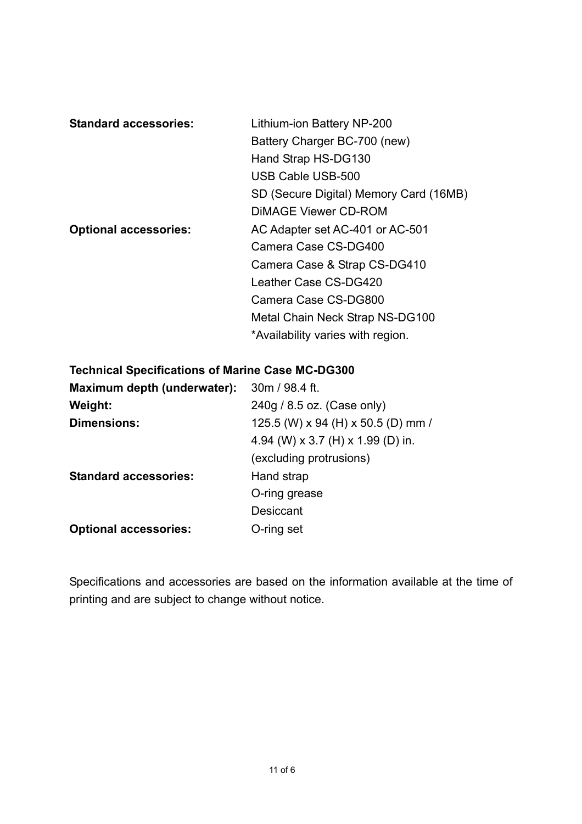| <b>Standard accessories:</b> | Lithium-ion Battery NP-200             |
|------------------------------|----------------------------------------|
|                              | Battery Charger BC-700 (new)           |
|                              | Hand Strap HS-DG130                    |
|                              | USB Cable USB-500                      |
|                              | SD (Secure Digital) Memory Card (16MB) |
|                              | DIMAGE Viewer CD-ROM                   |
| <b>Optional accessories:</b> | AC Adapter set AC-401 or AC-501        |
|                              | Camera Case CS-DG400                   |
|                              | Camera Case & Strap CS-DG410           |
|                              | Leather Case CS-DG420                  |
|                              | Camera Case CS-DG800                   |
|                              | Metal Chain Neck Strap NS-DG100        |
|                              | *Availability varies with region.      |

#### **Technical Specifications of Marine Case MC-DG300**

| Maximum depth (underwater):  | 30m / 98.4 ft.                     |
|------------------------------|------------------------------------|
| Weight:                      | 240g / 8.5 oz. (Case only)         |
| Dimensions:                  | 125.5 (W) x 94 (H) x 50.5 (D) mm / |
|                              | 4.94 (W) x 3.7 (H) x 1.99 (D) in.  |
|                              | (excluding protrusions)            |
| <b>Standard accessories:</b> | Hand strap                         |
|                              | O-ring grease                      |
|                              | Desiccant                          |
| <b>Optional accessories:</b> | O-ring set                         |

Specifications and accessories are based on the information available at the time of printing and are subject to change without notice.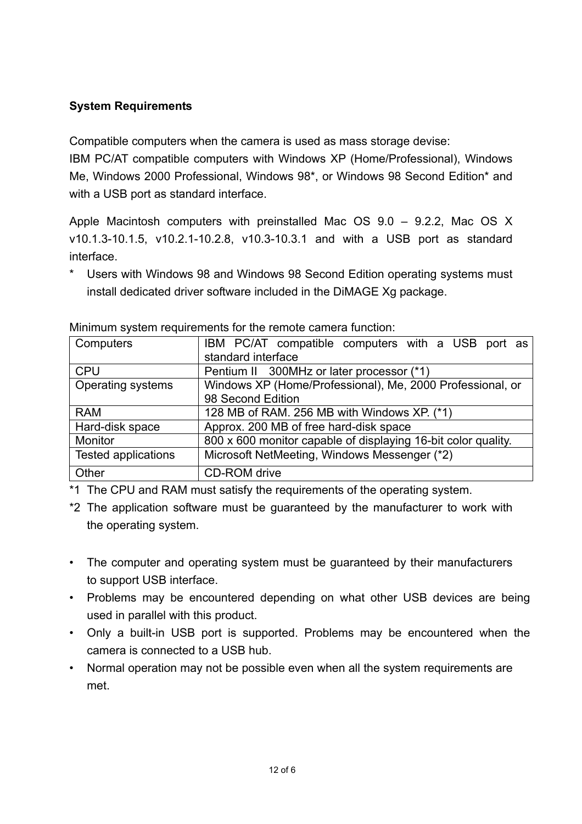# **System Requirements**

Compatible computers when the camera is used as mass storage devise:

IBM PC/AT compatible computers with Windows XP (Home/Professional), Windows Me, Windows 2000 Professional, Windows 98\*, or Windows 98 Second Edition\* and with a USB port as standard interface.

Apple Macintosh computers with preinstalled Mac OS 9.0 – 9.2.2, Mac OS X v10.1.3-10.1.5, v10.2.1-10.2.8, v10.3-10.3.1 and with a USB port as standard interface.

\* Users with Windows 98 and Windows 98 Second Edition operating systems must install dedicated driver software included in the DiMAGE Xg package.

| Computers                  | IBM PC/AT compatible computers with a USB port as             |  |  |
|----------------------------|---------------------------------------------------------------|--|--|
|                            | standard interface                                            |  |  |
| <b>CPU</b>                 | Pentium II 300MHz or later processor (*1)                     |  |  |
| Operating systems          | Windows XP (Home/Professional), Me, 2000 Professional, or     |  |  |
|                            | 98 Second Edition                                             |  |  |
| <b>RAM</b>                 | 128 MB of RAM. 256 MB with Windows XP. (*1)                   |  |  |
| Hard-disk space            | Approx. 200 MB of free hard-disk space                        |  |  |
| Monitor                    | 800 x 600 monitor capable of displaying 16-bit color quality. |  |  |
| <b>Tested applications</b> | Microsoft NetMeeting, Windows Messenger (*2)                  |  |  |
| Other                      | CD-ROM drive                                                  |  |  |

Minimum system requirements for the remote camera function:

\*1 The CPU and RAM must satisfy the requirements of the operating system.

- \*2 The application software must be guaranteed by the manufacturer to work with the operating system.
- The computer and operating system must be guaranteed by their manufacturers to support USB interface.
- Problems may be encountered depending on what other USB devices are being used in parallel with this product.
- Only a built-in USB port is supported. Problems may be encountered when the camera is connected to a USB hub.
- Normal operation may not be possible even when all the system requirements are met.